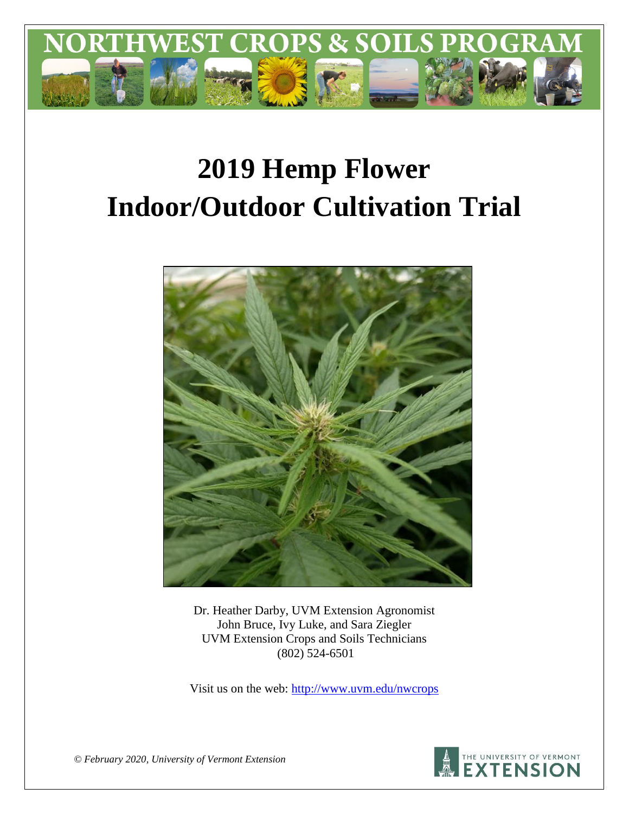

# **2019 Hemp Flower Indoor/Outdoor Cultivation Trial**



Dr. Heather Darby, UVM Extension Agronomist John Bruce, Ivy Luke, and Sara Ziegler UVM Extension Crops and Soils Technicians (802) 524-6501

Visit us on the web:<http://www.uvm.edu/nwcrops>



*© February 2020, University of Vermont Extension*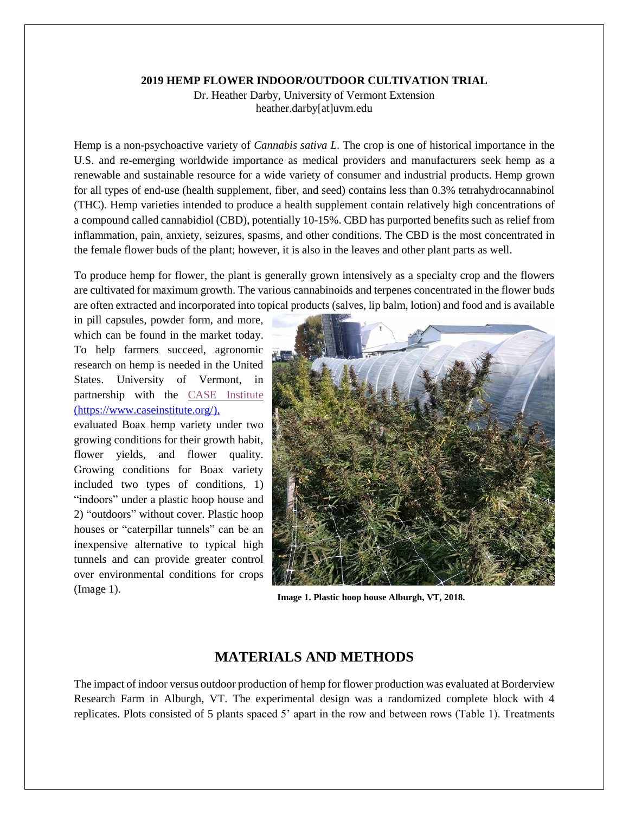#### **2019 HEMP FLOWER INDOOR/OUTDOOR CULTIVATION TRIAL**

Dr. Heather Darby, University of Vermont Extension heather.darby[at]uvm.edu

Hemp is a non-psychoactive variety of *Cannabis sativa L*. The crop is one of historical importance in the U.S. and re-emerging worldwide importance as medical providers and manufacturers seek hemp as a renewable and sustainable resource for a wide variety of consumer and industrial products. Hemp grown for all types of end-use (health supplement, fiber, and seed) contains less than 0.3% tetrahydrocannabinol (THC). Hemp varieties intended to produce a health supplement contain relatively high concentrations of a compound called cannabidiol (CBD), potentially 10-15%. CBD has purported benefits such as relief from inflammation, pain, anxiety, seizures, spasms, and other conditions. The CBD is the most concentrated in the female flower buds of the plant; however, it is also in the leaves and other plant parts as well.

To produce hemp for flower, the plant is generally grown intensively as a specialty crop and the flowers are cultivated for maximum growth. The various cannabinoids and terpenes concentrated in the flower buds are often extracted and incorporated into topical products (salves, lip balm, lotion) and food and is available

in pill capsules, powder form, and more, which can be found in the market today. To help farmers succeed, agronomic research on hemp is needed in the United States. University of Vermont, in partnership with the [CASE Institute](https://www.caseinstitute.org/) (https://www.caseinstitute.org/),

evaluated Boax hemp variety under two growing conditions for their growth habit, flower yields, and flower quality. Growing conditions for Boax variety included two types of conditions, 1) "indoors" under a plastic hoop house and 2) "outdoors" without cover. Plastic hoop houses or "caterpillar tunnels" can be an inexpensive alternative to typical high tunnels and can provide greater control over environmental conditions for crops (Image 1).



**Image 1. Plastic hoop house Alburgh, VT, 2018.**

## **MATERIALS AND METHODS**

The impact of indoor versus outdoor production of hemp for flower production was evaluated at Borderview Research Farm in Alburgh, VT. The experimental design was a randomized complete block with 4 replicates. Plots consisted of 5 plants spaced 5' apart in the row and between rows (Table 1). Treatments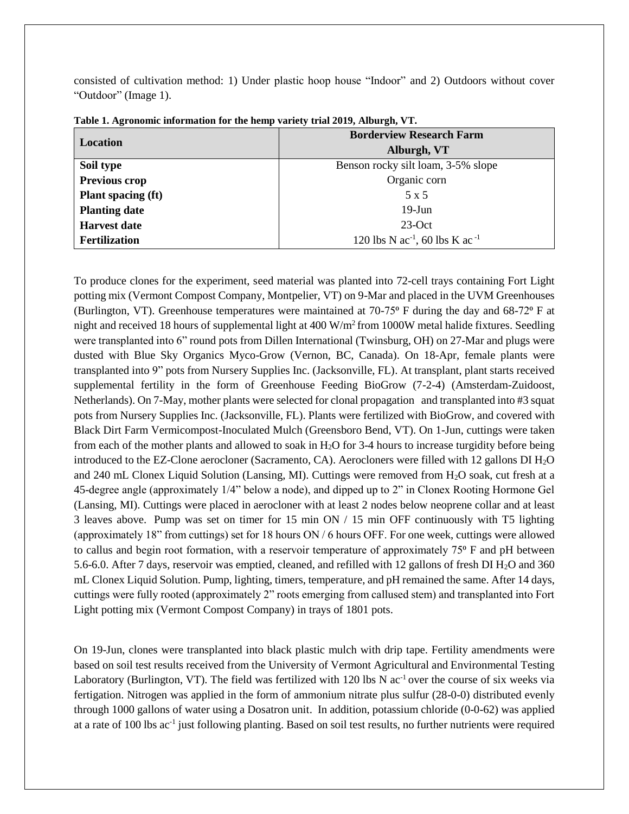consisted of cultivation method: 1) Under plastic hoop house "Indoor" and 2) Outdoors without cover "Outdoor" (Image 1).

| Location                  | <b>Borderview Research Farm</b>                        |  |  |  |
|---------------------------|--------------------------------------------------------|--|--|--|
|                           | Alburgh, VT                                            |  |  |  |
| Soil type                 | Benson rocky silt loam, 3-5% slope                     |  |  |  |
| Previous crop             | Organic corn                                           |  |  |  |
| <b>Plant spacing (ft)</b> | 5 x 5                                                  |  |  |  |
| <b>Planting date</b>      | $19$ -Jun                                              |  |  |  |
| <b>Harvest date</b>       | $23-Oct$                                               |  |  |  |
| <b>Fertilization</b>      | 120 lbs N ac <sup>-1</sup> , 60 lbs K ac <sup>-1</sup> |  |  |  |

**Table 1. Agronomic information for the hemp variety trial 2019, Alburgh, VT.**

To produce clones for the experiment, seed material was planted into 72-cell trays containing Fort Light potting mix (Vermont Compost Company, Montpelier, VT) on 9-Mar and placed in the UVM Greenhouses (Burlington, VT). Greenhouse temperatures were maintained at  $70-75$ ° F during the day and 68-72° F at night and received 18 hours of supplemental light at  $400 \text{ W/m}^2$  from 1000W metal halide fixtures. Seedling were transplanted into 6" round pots from Dillen International (Twinsburg, OH) on 27-Mar and plugs were dusted with Blue Sky Organics Myco-Grow (Vernon, BC, Canada). On 18-Apr, female plants were transplanted into 9" pots from Nursery Supplies Inc. (Jacksonville, FL). At transplant, plant starts received supplemental fertility in the form of Greenhouse Feeding BioGrow (7-2-4) (Amsterdam-Zuidoost, Netherlands). On 7-May, mother plants were selected for clonal propagation and transplanted into #3 squat pots from Nursery Supplies Inc. (Jacksonville, FL). Plants were fertilized with BioGrow, and covered with Black Dirt Farm Vermicompost-Inoculated Mulch (Greensboro Bend, VT). On 1-Jun, cuttings were taken from each of the mother plants and allowed to soak in  $H_2O$  for 3-4 hours to increase turgidity before being introduced to the EZ-Clone aerocloner (Sacramento, CA). Aerocloners were filled with 12 gallons DI H2O and 240 mL Clonex Liquid Solution (Lansing, MI). Cuttings were removed from H<sub>2</sub>O soak, cut fresh at a 45-degree angle (approximately 1/4" below a node), and dipped up to 2" in Clonex Rooting Hormone Gel (Lansing, MI). Cuttings were placed in aerocloner with at least 2 nodes below neoprene collar and at least 3 leaves above. Pump was set on timer for 15 min ON / 15 min OFF continuously with T5 lighting (approximately 18" from cuttings) set for 18 hours ON / 6 hours OFF. For one week, cuttings were allowed to callus and begin root formation, with a reservoir temperature of approximately 75<sup>o</sup> F and pH between 5.6-6.0. After 7 days, reservoir was emptied, cleaned, and refilled with 12 gallons of fresh DI H2O and 360 mL Clonex Liquid Solution. Pump, lighting, timers, temperature, and pH remained the same. After 14 days, cuttings were fully rooted (approximately 2" roots emerging from callused stem) and transplanted into Fort Light potting mix (Vermont Compost Company) in trays of 1801 pots.

On 19-Jun, clones were transplanted into black plastic mulch with drip tape. Fertility amendments were based on soil test results received from the University of Vermont Agricultural and Environmental Testing Laboratory (Burlington, VT). The field was fertilized with 120 lbs N  $ac^{-1}$  over the course of six weeks via fertigation. Nitrogen was applied in the form of ammonium nitrate plus sulfur (28-0-0) distributed evenly through 1000 gallons of water using a Dosatron unit. In addition, potassium chloride (0-0-62) was applied at a rate of 100 lbs ac<sup>-1</sup> just following planting. Based on soil test results, no further nutrients were required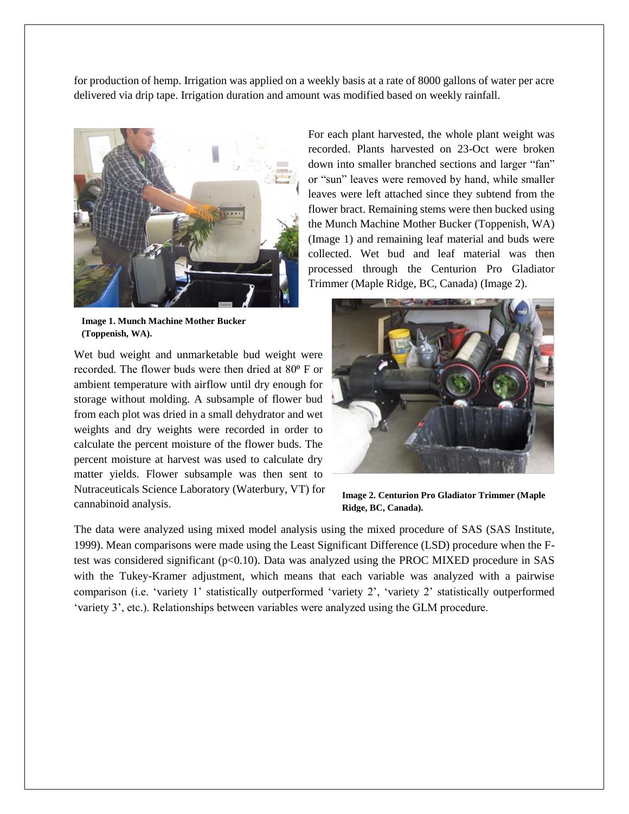for production of hemp. Irrigation was applied on a weekly basis at a rate of 8000 gallons of water per acre delivered via drip tape. Irrigation duration and amount was modified based on weekly rainfall.



**Image 1. Munch Machine Mother Bucker (Toppenish, WA).**

Wet bud weight and unmarketable bud weight were recorded. The flower buds were then dried at 80° F or ambient temperature with airflow until dry enough for storage without molding. A subsample of flower bud from each plot was dried in a small dehydrator and wet weights and dry weights were recorded in order to calculate the percent moisture of the flower buds. The percent moisture at harvest was used to calculate dry matter yields. Flower subsample was then sent to Nutraceuticals Science Laboratory (Waterbury, VT) for cannabinoid analysis.

For each plant harvested, the whole plant weight was recorded. Plants harvested on 23-Oct were broken down into smaller branched sections and larger "fan" or "sun" leaves were removed by hand, while smaller leaves were left attached since they subtend from the flower bract. Remaining stems were then bucked using the Munch Machine Mother Bucker (Toppenish, WA) (Image 1) and remaining leaf material and buds were collected. Wet bud and leaf material was then processed through the Centurion Pro Gladiator Trimmer (Maple Ridge, BC, Canada) (Image 2).



**Image 2. Centurion Pro Gladiator Trimmer (Maple Ridge, BC, Canada).**

The data were analyzed using mixed model analysis using the mixed procedure of SAS (SAS Institute, 1999). Mean comparisons were made using the Least Significant Difference (LSD) procedure when the Ftest was considered significant (p<0.10). Data was analyzed using the PROC MIXED procedure in SAS with the Tukey-Kramer adjustment, which means that each variable was analyzed with a pairwise comparison (i.e. 'variety 1' statistically outperformed 'variety 2', 'variety 2' statistically outperformed 'variety 3', etc.). Relationships between variables were analyzed using the GLM procedure.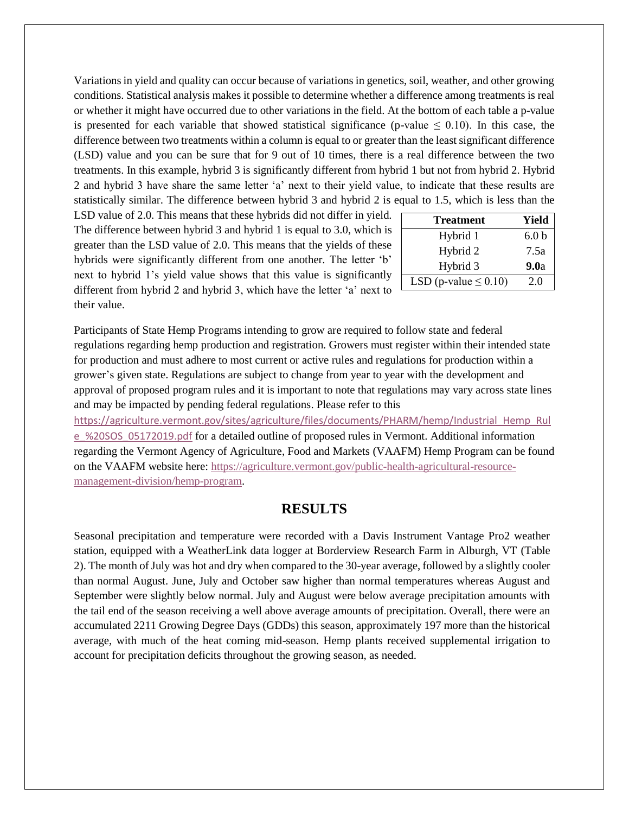Variations in yield and quality can occur because of variations in genetics, soil, weather, and other growing conditions. Statistical analysis makes it possible to determine whether a difference among treatments is real or whether it might have occurred due to other variations in the field. At the bottom of each table a p-value is presented for each variable that showed statistical significance (p-value  $\leq 0.10$ ). In this case, the difference between two treatments within a column is equal to or greater than the least significant difference (LSD) value and you can be sure that for 9 out of 10 times, there is a real difference between the two treatments. In this example, hybrid 3 is significantly different from hybrid 1 but not from hybrid 2. Hybrid 2 and hybrid 3 have share the same letter 'a' next to their yield value, to indicate that these results are statistically similar. The difference between hybrid 3 and hybrid 2 is equal to 1.5, which is less than the

LSD value of 2.0. This means that these hybrids did not differ in yield. The difference between hybrid 3 and hybrid 1 is equal to 3.0, which is greater than the LSD value of 2.0. This means that the yields of these hybrids were significantly different from one another. The letter 'b' next to hybrid 1's yield value shows that this value is significantly different from hybrid 2 and hybrid 3, which have the letter 'a' next to their value.

| <b>Treatment</b>           | Yield            |  |  |
|----------------------------|------------------|--|--|
| Hybrid 1                   | 6.0 <sub>b</sub> |  |  |
| Hybrid 2                   | 7.5a             |  |  |
| Hybrid 3                   | 9.0a             |  |  |
| LSD (p-value $\leq 0.10$ ) | 2.0              |  |  |

Participants of State Hemp Programs intending to grow are required to follow state and federal regulations regarding hemp production and registration. Growers must register within their intended state for production and must adhere to most current or active rules and regulations for production within a grower's given state. Regulations are subject to change from year to year with the development and approval of proposed program rules and it is important to note that regulations may vary across state lines and may be impacted by pending federal regulations. Please refer to this

[https://agriculture.vermont.gov/sites/agriculture/files/documents/PHARM/hemp/Industrial\\_Hemp\\_Rul](https://agriculture.vermont.gov/sites/agriculture/files/documents/PHARM/hemp/Industrial_Hemp_Rule_%20SOS_05172019.pdf) [e\\_%20SOS\\_05172019.pdf](https://agriculture.vermont.gov/sites/agriculture/files/documents/PHARM/hemp/Industrial_Hemp_Rule_%20SOS_05172019.pdf) for a detailed outline of proposed rules in Vermont. Additional information regarding the Vermont Agency of Agriculture, Food and Markets (VAAFM) Hemp Program can be found on the VAAFM website here: [https://agriculture.vermont.gov/public-health-agricultural-resource](https://agriculture.vermont.gov/public-health-agricultural-resource-management-division/hemp-program)[management-division/hemp-program.](https://agriculture.vermont.gov/public-health-agricultural-resource-management-division/hemp-program)

## **RESULTS**

Seasonal precipitation and temperature were recorded with a Davis Instrument Vantage Pro2 weather station, equipped with a WeatherLink data logger at Borderview Research Farm in Alburgh, VT (Table 2). The month of July was hot and dry when compared to the 30-year average, followed by a slightly cooler than normal August. June, July and October saw higher than normal temperatures whereas August and September were slightly below normal. July and August were below average precipitation amounts with the tail end of the season receiving a well above average amounts of precipitation. Overall, there were an accumulated 2211 Growing Degree Days (GDDs) this season, approximately 197 more than the historical average, with much of the heat coming mid-season. Hemp plants received supplemental irrigation to account for precipitation deficits throughout the growing season, as needed.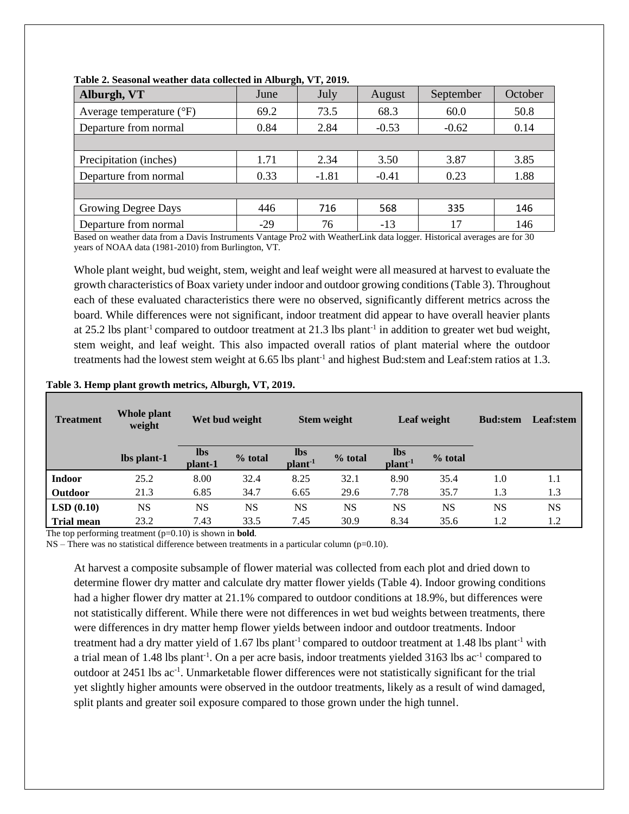| June  | July    | August  | September | October |
|-------|---------|---------|-----------|---------|
| 69.2  | 73.5    | 68.3    | 60.0      | 50.8    |
| 0.84  | 2.84    | $-0.53$ | $-0.62$   | 0.14    |
|       |         |         |           |         |
| 1.71  | 2.34    | 3.50    | 3.87      | 3.85    |
| 0.33  | $-1.81$ | $-0.41$ | 0.23      | 1.88    |
|       |         |         |           |         |
| 446   | 716     | 568     | 335       | 146     |
| $-29$ | 76      | $-13$   | 17        | 146     |
|       |         |         |           |         |

**Table 2. Seasonal weather data collected in Alburgh, VT, 2019.**

Based on weather data from a Davis Instruments Vantage Pro2 with WeatherLink data logger. Historical averages are for 30 years of NOAA data (1981-2010) from Burlington, VT.

Whole plant weight, bud weight, stem, weight and leaf weight were all measured at harvest to evaluate the growth characteristics of Boax variety under indoor and outdoor growing conditions(Table 3). Throughout each of these evaluated characteristics there were no observed, significantly different metrics across the board. While differences were not significant, indoor treatment did appear to have overall heavier plants at 25.2 lbs plant<sup>-1</sup> compared to outdoor treatment at 21.3 lbs plant<sup>-1</sup> in addition to greater wet bud weight, stem weight, and leaf weight. This also impacted overall ratios of plant material where the outdoor treatments had the lowest stem weight at 6.65 lbs plant<sup>-1</sup> and highest Bud: stem and Leaf: stem ratios at 1.3.

#### **Table 3. Hemp plant growth metrics, Alburgh, VT, 2019.**

| <b>Treatment</b>  | <b>Whole plant</b><br>weight | Wet bud weight        |           | <b>Stem weight</b>              |           | Leaf weight                      |           | <b>Bud:stem</b> | Leaf:stem |
|-------------------|------------------------------|-----------------------|-----------|---------------------------------|-----------|----------------------------------|-----------|-----------------|-----------|
|                   | lbs plant-1                  | <b>lbs</b><br>plant-1 | % total   | <b>lbs</b><br>plan <sup>1</sup> | % total   | <b>lbs</b><br>plant <sup>1</sup> | $%$ total |                 |           |
| <b>Indoor</b>     | 25.2                         | 8.00                  | 32.4      | 8.25                            | 32.1      | 8.90                             | 35.4      | 1.0             | 1.1       |
| Outdoor           | 21.3                         | 6.85                  | 34.7      | 6.65                            | 29.6      | 7.78                             | 35.7      | 1.3             | 1.3       |
| LSD(0.10)         | <b>NS</b>                    | <b>NS</b>             | <b>NS</b> | <b>NS</b>                       | <b>NS</b> | NS                               | NS        | NS              | <b>NS</b> |
| <b>Trial mean</b> | 23.2                         | 7.43                  | 33.5      | 7.45                            | 30.9      | 8.34                             | 35.6      | 1.2             | 1.2       |

The top performing treatment (p=0.10) is shown in **bold**.

 $NS$  – There was no statistical difference between treatments in a particular column ( $p=0.10$ ).

At harvest a composite subsample of flower material was collected from each plot and dried down to determine flower dry matter and calculate dry matter flower yields (Table 4). Indoor growing conditions had a higher flower dry matter at 21.1% compared to outdoor conditions at 18.9%, but differences were not statistically different. While there were not differences in wet bud weights between treatments, there were differences in dry matter hemp flower yields between indoor and outdoor treatments. Indoor treatment had a dry matter yield of 1.67 lbs plant-1 compared to outdoor treatment at 1.48 lbs plant-1 with a trial mean of 1.48 lbs plant<sup>-1</sup>. On a per acre basis, indoor treatments yielded 3163 lbs ac<sup>-1</sup> compared to outdoor at 2451 lbs ac<sup>-1</sup>. Unmarketable flower differences were not statistically significant for the trial yet slightly higher amounts were observed in the outdoor treatments, likely as a result of wind damaged, split plants and greater soil exposure compared to those grown under the high tunnel.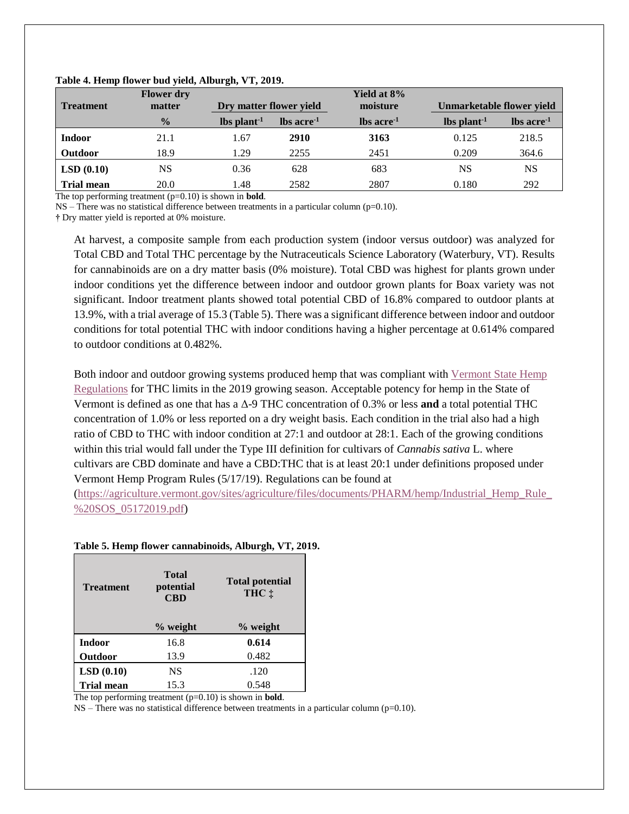|                   | <b>Flower</b> dry |                   |                         | Yield at 8%<br>moisture |                   |                                  |  |
|-------------------|-------------------|-------------------|-------------------------|-------------------------|-------------------|----------------------------------|--|
| <b>Treatment</b>  | matter            |                   | Dry matter flower yield |                         |                   | <b>Unmarketable flower yield</b> |  |
|                   | $\frac{0}{0}$     | $\ln \frac{1}{2}$ | $\ln$ acre <sup>1</sup> | $\ln$ acre <sup>1</sup> | $\ln \frac{1}{1}$ | $\ln$ acre <sup>1</sup>          |  |
| <b>Indoor</b>     | 21.1              | 1.67              | 2910                    | 3163                    | 0.125             | 218.5                            |  |
| <b>Outdoor</b>    | 18.9              | 1.29              | 2255                    | 2451                    | 0.209             | 364.6                            |  |
| LSD(0.10)         | NS                | 0.36              | 628                     | 683                     | <b>NS</b>         | <b>NS</b>                        |  |
| <b>Trial mean</b> | 20.0              | l.48              | 2582                    | 2807                    | 0.180             | 292                              |  |

#### **Table 4. Hemp flower bud yield, Alburgh, VT, 2019.**

The top performing treatment (p=0.10) is shown in **bold**.

 $NS$  – There was no statistical difference between treatments in a particular column (p=0.10).

**†** Dry matter yield is reported at 0% moisture.

At harvest, a composite sample from each production system (indoor versus outdoor) was analyzed for Total CBD and Total THC percentage by the Nutraceuticals Science Laboratory (Waterbury, VT). Results for cannabinoids are on a dry matter basis (0% moisture). Total CBD was highest for plants grown under indoor conditions yet the difference between indoor and outdoor grown plants for Boax variety was not significant. Indoor treatment plants showed total potential CBD of 16.8% compared to outdoor plants at 13.9%, with a trial average of 15.3 (Table 5). There was a significant difference between indoor and outdoor conditions for total potential THC with indoor conditions having a higher percentage at 0.614% compared to outdoor conditions at 0.482%.

Both indoor and outdoor growing systems produced hemp that was compliant with [Vermont State Hemp](https://agriculture.vermont.gov/sites/agriculture/files/documents/PHARM/hemp/Industrial_Hemp_Rule_%20SOS_05172019.pdf)  [Regulations](https://agriculture.vermont.gov/sites/agriculture/files/documents/PHARM/hemp/Industrial_Hemp_Rule_%20SOS_05172019.pdf) for THC limits in the 2019 growing season. Acceptable potency for hemp in the State of Vermont is defined as one that has a Δ-9 THC concentration of 0.3% or less **and** a total potential THC concentration of 1.0% or less reported on a dry weight basis. Each condition in the trial also had a high ratio of CBD to THC with indoor condition at 27:1 and outdoor at 28:1. Each of the growing conditions within this trial would fall under the Type III definition for cultivars of *Cannabis sativa* L. where cultivars are CBD dominate and have a CBD:THC that is at least 20:1 under definitions proposed under Vermont Hemp Program Rules (5/17/19). Regulations can be found at

[\(https://agriculture.vermont.gov/sites/agriculture/files/documents/PHARM/hemp/Industrial\\_Hemp\\_Rule\\_](https://agriculture.vermont.gov/sites/agriculture/files/documents/PHARM/hemp/Industrial_Hemp_Rule_%20SOS_05172019.pdf) [%20SOS\\_05172019.pdf\)](https://agriculture.vermont.gov/sites/agriculture/files/documents/PHARM/hemp/Industrial_Hemp_Rule_%20SOS_05172019.pdf)

#### **Treatment Total potential CBD Total potential THC ‡ % weight % weight Indoor** 16.8 **0.614 Outdoor** 13.9 0.482 **LSD (0.10)** NS .120 **Trial mean** 15.3 0.548

#### **Table 5. Hemp flower cannabinoids, Alburgh, VT, 2019.**

The top performing treatment (p=0.10) is shown in **bold**.

 $NS$  – There was no statistical difference between treatments in a particular column ( $p=0.10$ ).